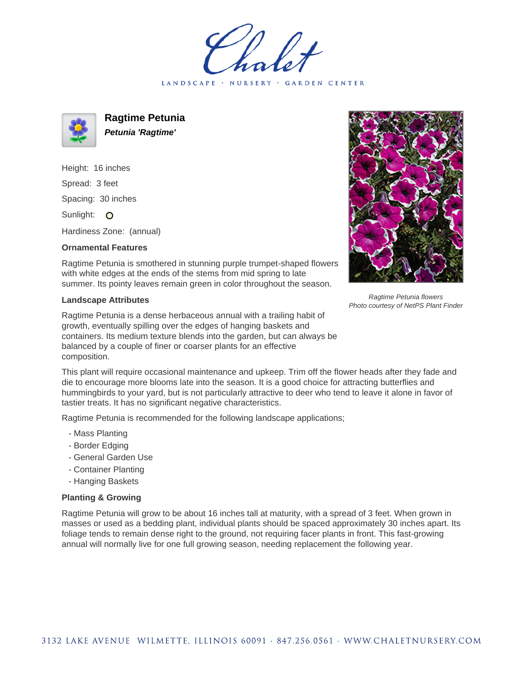LANDSCAPE · NURSERY · GARDEN CENTER



**Ragtime Petunia Petunia 'Ragtime'**

Height: 16 inches Spread: 3 feet Spacing: 30 inches Sunlight: O

Hardiness Zone: (annual)

## **Ornamental Features**

Ragtime Petunia is smothered in stunning purple trumpet-shaped flowers with white edges at the ends of the stems from mid spring to late summer. Its pointy leaves remain green in color throughout the season.

## **Landscape Attributes**



Ragtime Petunia flowers Photo courtesy of NetPS Plant Finder

Ragtime Petunia is a dense herbaceous annual with a trailing habit of growth, eventually spilling over the edges of hanging baskets and containers. Its medium texture blends into the garden, but can always be balanced by a couple of finer or coarser plants for an effective composition.

This plant will require occasional maintenance and upkeep. Trim off the flower heads after they fade and die to encourage more blooms late into the season. It is a good choice for attracting butterflies and hummingbirds to your yard, but is not particularly attractive to deer who tend to leave it alone in favor of tastier treats. It has no significant negative characteristics.

Ragtime Petunia is recommended for the following landscape applications;

- Mass Planting
- Border Edging
- General Garden Use
- Container Planting
- Hanging Baskets

## **Planting & Growing**

Ragtime Petunia will grow to be about 16 inches tall at maturity, with a spread of 3 feet. When grown in masses or used as a bedding plant, individual plants should be spaced approximately 30 inches apart. Its foliage tends to remain dense right to the ground, not requiring facer plants in front. This fast-growing annual will normally live for one full growing season, needing replacement the following year.